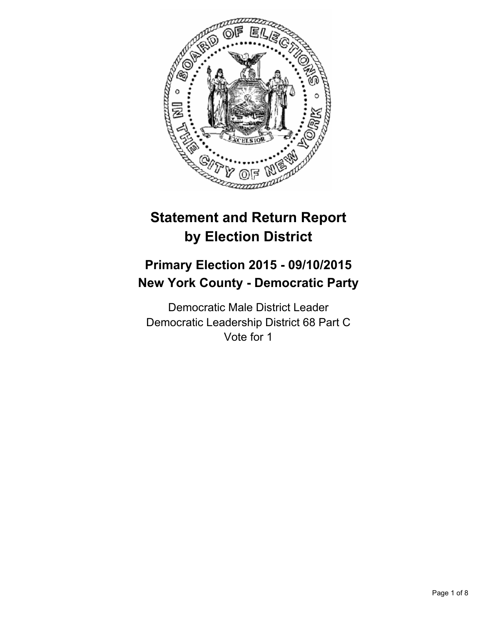

# **Statement and Return Report by Election District**

## **Primary Election 2015 - 09/10/2015 New York County - Democratic Party**

Democratic Male District Leader Democratic Leadership District 68 Part C Vote for 1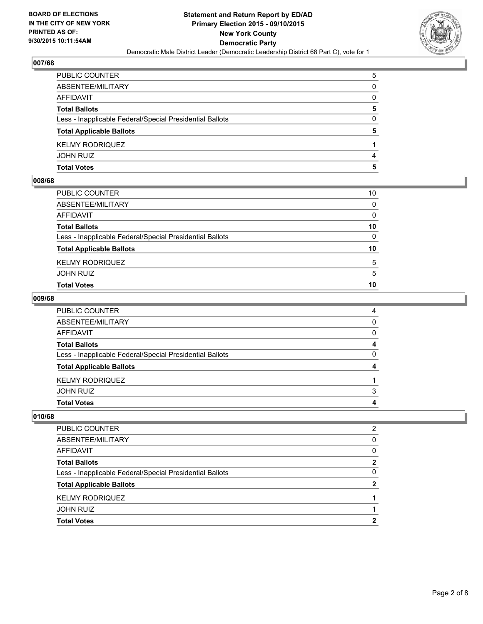

| PUBLIC COUNTER                                           | 5            |
|----------------------------------------------------------|--------------|
| ABSENTEE/MILITARY                                        | $\mathbf{0}$ |
| AFFIDAVIT                                                | 0            |
| Total Ballots                                            | 5            |
| Less - Inapplicable Federal/Special Presidential Ballots | 0            |
| <b>Total Applicable Ballots</b>                          | 5            |
| KELMY RODRIQUEZ                                          |              |
| JOHN RUIZ                                                | 4            |
| Total Votes                                              | 5            |

#### **008/68**

| Total Votes                                              | 10              |
|----------------------------------------------------------|-----------------|
| JOHN RUIZ                                                | 5               |
| KELMY RODRIQUEZ                                          | 5               |
| <b>Total Applicable Ballots</b>                          | 10 <sup>°</sup> |
| Less - Inapplicable Federal/Special Presidential Ballots | $\mathbf{0}$    |
| <b>Total Ballots</b>                                     | 10              |
| AFFIDAVIT                                                | 0               |
| ABSENTEE/MILITARY                                        | $\mathbf{0}$    |
| PUBLIC COUNTER                                           | 10              |
|                                                          |                 |

#### **009/68**

| PUBLIC COUNTER                                           | 4            |
|----------------------------------------------------------|--------------|
| ABSENTEE/MILITARY                                        | $\mathbf{0}$ |
| AFFIDAVIT                                                | $\Omega$     |
| <b>Total Ballots</b>                                     | 4            |
| Less - Inapplicable Federal/Special Presidential Ballots | 0            |
| <b>Total Applicable Ballots</b>                          | 4            |
| KELMY RODRIQUEZ                                          |              |
| JOHN RUIZ                                                | 3            |
| Total Votes                                              | 4            |
|                                                          |              |

| PUBLIC COUNTER                                           | 2 |
|----------------------------------------------------------|---|
| ABSENTEE/MILITARY                                        | 0 |
| AFFIDAVIT                                                | 0 |
| <b>Total Ballots</b>                                     | 2 |
| Less - Inapplicable Federal/Special Presidential Ballots | 0 |
| <b>Total Applicable Ballots</b>                          | 2 |
| <b>KELMY RODRIQUEZ</b>                                   |   |
| <b>JOHN RUIZ</b>                                         |   |
| <b>Total Votes</b>                                       | 2 |
|                                                          |   |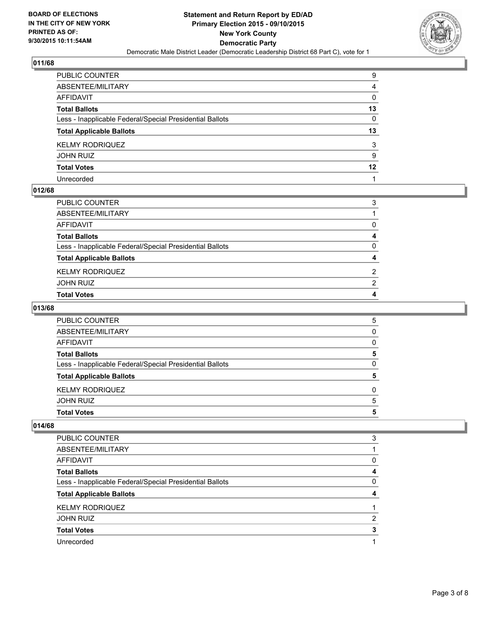

| PUBLIC COUNTER                                           | 9  |
|----------------------------------------------------------|----|
| ABSENTEE/MILITARY                                        | 4  |
| AFFIDAVIT                                                | 0  |
| Total Ballots                                            | 13 |
| Less - Inapplicable Federal/Special Presidential Ballots | 0  |
| <b>Total Applicable Ballots</b>                          | 13 |
| KELMY RODRIQUEZ                                          | 3  |
| JOHN RUIZ                                                | 9  |
| <b>Total Votes</b>                                       | 12 |
| Unrecorded                                               |    |

## **012/68**

| PUBLIC COUNTER                                           | 3 |
|----------------------------------------------------------|---|
| ABSENTEE/MILITARY                                        |   |
| AFFIDAVIT                                                | 0 |
| Total Ballots                                            | 4 |
| Less - Inapplicable Federal/Special Presidential Ballots | 0 |
| <b>Total Applicable Ballots</b>                          | 4 |
| KELMY RODRIQUEZ                                          | 2 |
| JOHN RUIZ                                                | 2 |
| <b>Total Votes</b>                                       |   |
|                                                          |   |

## **013/68**

| <b>Total Votes</b>                                       | 5        |
|----------------------------------------------------------|----------|
| <b>JOHN RUIZ</b>                                         | 5        |
| <b>KELMY RODRIQUEZ</b>                                   | 0        |
| <b>Total Applicable Ballots</b>                          | 5        |
| Less - Inapplicable Federal/Special Presidential Ballots | 0        |
| <b>Total Ballots</b>                                     | 5        |
| AFFIDAVIT                                                | $\Omega$ |
| ABSENTEE/MILITARY                                        | $\Omega$ |
| PUBLIC COUNTER                                           | 5        |

| <b>PUBLIC COUNTER</b>                                    | 3 |
|----------------------------------------------------------|---|
| ABSENTEE/MILITARY                                        |   |
| AFFIDAVIT                                                | 0 |
| <b>Total Ballots</b>                                     | 4 |
| Less - Inapplicable Federal/Special Presidential Ballots | 0 |
|                                                          |   |
| <b>Total Applicable Ballots</b>                          |   |
| <b>KELMY RODRIQUEZ</b>                                   |   |
| <b>JOHN RUIZ</b>                                         | 2 |
| <b>Total Votes</b>                                       |   |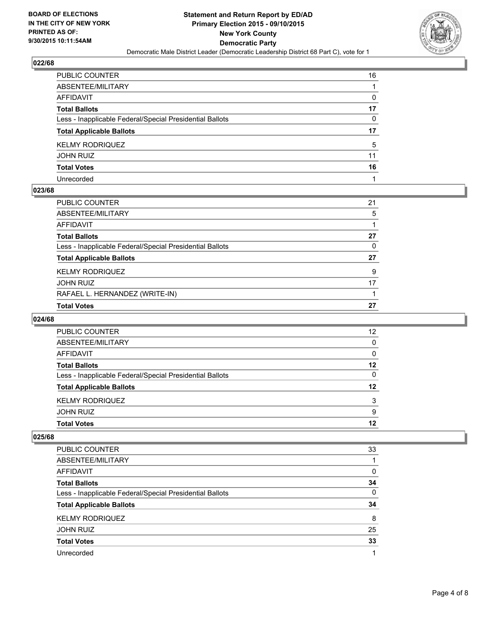

| PUBLIC COUNTER                                           | 16 |
|----------------------------------------------------------|----|
| ABSENTEE/MILITARY                                        |    |
| AFFIDAVIT                                                | 0  |
| Total Ballots                                            | 17 |
| Less - Inapplicable Federal/Special Presidential Ballots | 0  |
| <b>Total Applicable Ballots</b>                          | 17 |
| KELMY RODRIQUEZ                                          | 5  |
| JOHN RUIZ                                                | 11 |
| <b>Total Votes</b>                                       | 16 |
| Unrecorded                                               |    |

## **023/68**

| PUBLIC COUNTER                                           | 21 |
|----------------------------------------------------------|----|
| ABSENTEE/MILITARY                                        | 5  |
| AFFIDAVIT                                                |    |
| Total Ballots                                            | 27 |
| Less - Inapplicable Federal/Special Presidential Ballots | 0  |
| <b>Total Applicable Ballots</b>                          | 27 |
| KELMY RODRIQUEZ                                          | 9  |
| JOHN RUIZ                                                | 17 |
| RAFAEL L. HERNANDEZ (WRITE-IN)                           |    |
| Total Votes                                              | 27 |

#### **024/68**

| <b>PUBLIC COUNTER</b>                                    | 12 |
|----------------------------------------------------------|----|
| ABSENTEE/MILITARY                                        | 0  |
| <b>AFFIDAVIT</b>                                         | 0  |
| <b>Total Ballots</b>                                     | 12 |
| Less - Inapplicable Federal/Special Presidential Ballots | 0  |
| <b>Total Applicable Ballots</b>                          | 12 |
| <b>KELMY RODRIQUEZ</b>                                   | 3  |
| <b>JOHN RUIZ</b>                                         | 9  |
| <b>Total Votes</b>                                       | 12 |

| <b>PUBLIC COUNTER</b>                                    | 33 |
|----------------------------------------------------------|----|
| ABSENTEE/MILITARY                                        |    |
| AFFIDAVIT                                                | 0  |
| <b>Total Ballots</b>                                     | 34 |
| Less - Inapplicable Federal/Special Presidential Ballots | 0  |
| <b>Total Applicable Ballots</b>                          | 34 |
| <b>KELMY RODRIQUEZ</b>                                   | 8  |
| <b>JOHN RUIZ</b>                                         | 25 |
| <b>Total Votes</b>                                       | 33 |
|                                                          |    |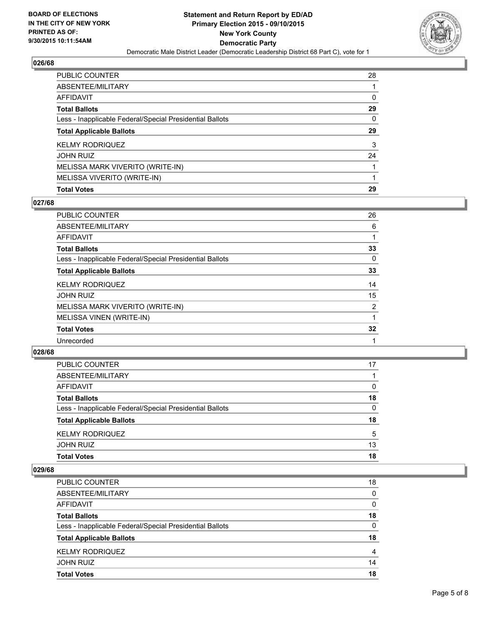

| PUBLIC COUNTER                                           | 28 |
|----------------------------------------------------------|----|
| ABSENTEE/MILITARY                                        |    |
| AFFIDAVIT                                                | 0  |
| <b>Total Ballots</b>                                     | 29 |
| Less - Inapplicable Federal/Special Presidential Ballots | 0  |
| <b>Total Applicable Ballots</b>                          | 29 |
| KELMY RODRIQUEZ                                          | 3  |
| JOHN RUIZ                                                | 24 |
| MELISSA MARK VIVERITO (WRITE-IN)                         |    |
| MELISSA VIVERITO (WRITE-IN)                              |    |
| <b>Total Votes</b>                                       | 29 |

#### **027/68**

| PUBLIC COUNTER                                           | 26             |
|----------------------------------------------------------|----------------|
| ABSENTEE/MILITARY                                        | 6              |
| <b>AFFIDAVIT</b>                                         |                |
| <b>Total Ballots</b>                                     | 33             |
| Less - Inapplicable Federal/Special Presidential Ballots | 0              |
| <b>Total Applicable Ballots</b>                          | 33             |
| <b>KELMY RODRIQUEZ</b>                                   | 14             |
| <b>JOHN RUIZ</b>                                         | 15             |
| MELISSA MARK VIVERITO (WRITE-IN)                         | $\overline{2}$ |
| MELISSA VINEN (WRITE-IN)                                 |                |
| <b>Total Votes</b>                                       | 32             |
| Unrecorded                                               |                |

#### **028/68**

| PUBLIC COUNTER                                           | 17 |
|----------------------------------------------------------|----|
| ABSENTEE/MILITARY                                        |    |
| AFFIDAVIT                                                | 0  |
| <b>Total Ballots</b>                                     | 18 |
| Less - Inapplicable Federal/Special Presidential Ballots | 0  |
| <b>Total Applicable Ballots</b>                          | 18 |
| <b>KELMY RODRIQUEZ</b>                                   | 5  |
| <b>JOHN RUIZ</b>                                         | 13 |
| <b>Total Votes</b>                                       | 18 |

| PUBLIC COUNTER                                           | 18       |
|----------------------------------------------------------|----------|
| ABSENTEE/MILITARY                                        | 0        |
| AFFIDAVIT                                                | $\Omega$ |
| <b>Total Ballots</b>                                     | 18       |
| Less - Inapplicable Federal/Special Presidential Ballots | $\Omega$ |
| <b>Total Applicable Ballots</b>                          | 18       |
| <b>KELMY RODRIQUEZ</b>                                   | 4        |
| <b>JOHN RUIZ</b>                                         | 14       |
| <b>Total Votes</b>                                       | 18       |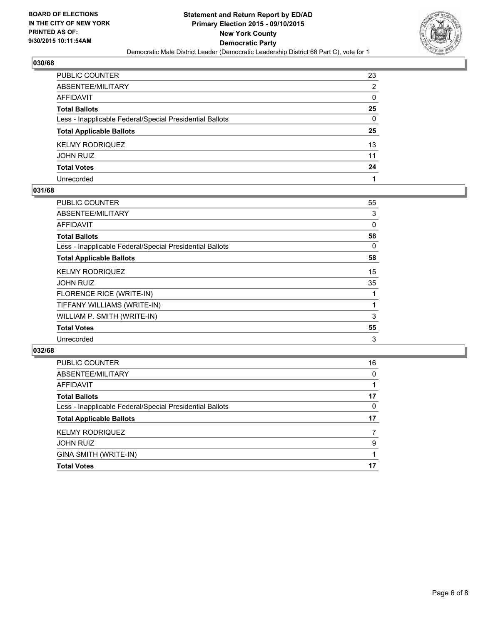

| PUBLIC COUNTER                                           | 23           |
|----------------------------------------------------------|--------------|
| ABSENTEE/MILITARY                                        | 2            |
| AFFIDAVIT                                                | 0            |
| Total Ballots                                            | 25           |
| Less - Inapplicable Federal/Special Presidential Ballots | $\mathbf{0}$ |
| <b>Total Applicable Ballots</b>                          | 25           |
| KELMY RODRIQUEZ                                          | 13           |
| JOHN RUIZ                                                | 11           |
| <b>Total Votes</b>                                       | 24           |
| Unrecorded                                               |              |

#### **031/68**

| PUBLIC COUNTER                                           | 55           |
|----------------------------------------------------------|--------------|
| ABSENTEE/MILITARY                                        | 3            |
| <b>AFFIDAVIT</b>                                         | $\mathbf{0}$ |
| <b>Total Ballots</b>                                     | 58           |
| Less - Inapplicable Federal/Special Presidential Ballots | 0            |
| <b>Total Applicable Ballots</b>                          | 58           |
| <b>KELMY RODRIQUEZ</b>                                   | 15           |
| <b>JOHN RUIZ</b>                                         | 35           |
| FLORENCE RICE (WRITE-IN)                                 |              |
| TIFFANY WILLIAMS (WRITE-IN)                              | 1            |
| WILLIAM P. SMITH (WRITE-IN)                              | 3            |
| <b>Total Votes</b>                                       | 55           |
| Unrecorded                                               | 3            |
|                                                          |              |

| <b>Total Votes</b>                                       | 17       |
|----------------------------------------------------------|----------|
| GINA SMITH (WRITE-IN)                                    |          |
| <b>JOHN RUIZ</b>                                         | 9        |
| <b>KELMY RODRIQUEZ</b>                                   | 7        |
| <b>Total Applicable Ballots</b>                          | 17       |
| Less - Inapplicable Federal/Special Presidential Ballots | 0        |
| <b>Total Ballots</b>                                     | 17       |
| <b>AFFIDAVIT</b>                                         |          |
| ABSENTEE/MILITARY                                        | $\Omega$ |
| PUBLIC COUNTER                                           | 16       |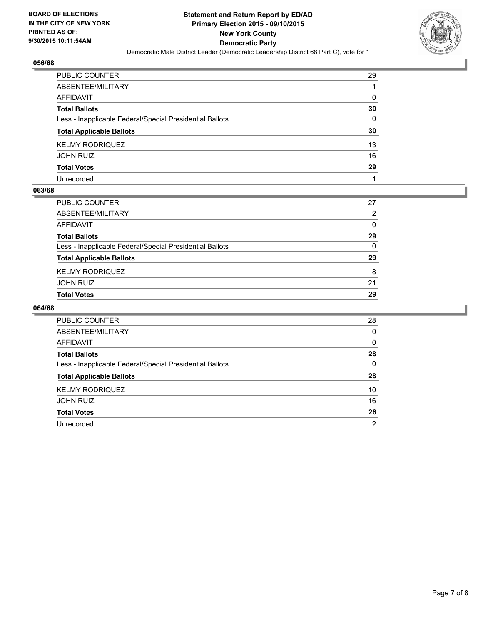

| PUBLIC COUNTER                                           | 29 |
|----------------------------------------------------------|----|
| ABSENTEE/MILITARY                                        |    |
| AFFIDAVIT                                                | 0  |
| Total Ballots                                            | 30 |
| Less - Inapplicable Federal/Special Presidential Ballots | 0  |
| <b>Total Applicable Ballots</b>                          | 30 |
| KELMY RODRIQUEZ                                          | 13 |
| JOHN RUIZ                                                | 16 |
| <b>Total Votes</b>                                       | 29 |
| Unrecorded                                               |    |

#### **063/68**

| PUBLIC COUNTER                                           | 27             |
|----------------------------------------------------------|----------------|
| ABSENTEE/MILITARY                                        | $\overline{2}$ |
| AFFIDAVIT                                                | 0              |
| Total Ballots                                            | 29             |
| Less - Inapplicable Federal/Special Presidential Ballots | 0              |
| <b>Total Applicable Ballots</b>                          | 29             |
| KELMY RODRIQUEZ                                          | 8              |
| JOHN RUIZ                                                | 21             |
| <b>Total Votes</b>                                       | 29             |
|                                                          |                |

| <b>PUBLIC COUNTER</b>                                    | 28             |
|----------------------------------------------------------|----------------|
| ABSENTEE/MILITARY                                        | 0              |
| <b>AFFIDAVIT</b>                                         | 0              |
| <b>Total Ballots</b>                                     | 28             |
| Less - Inapplicable Federal/Special Presidential Ballots | 0              |
| <b>Total Applicable Ballots</b>                          | 28             |
| <b>KELMY RODRIQUEZ</b>                                   | 10             |
| <b>JOHN RUIZ</b>                                         | 16             |
| <b>Total Votes</b>                                       | 26             |
| Unrecorded                                               | $\overline{2}$ |